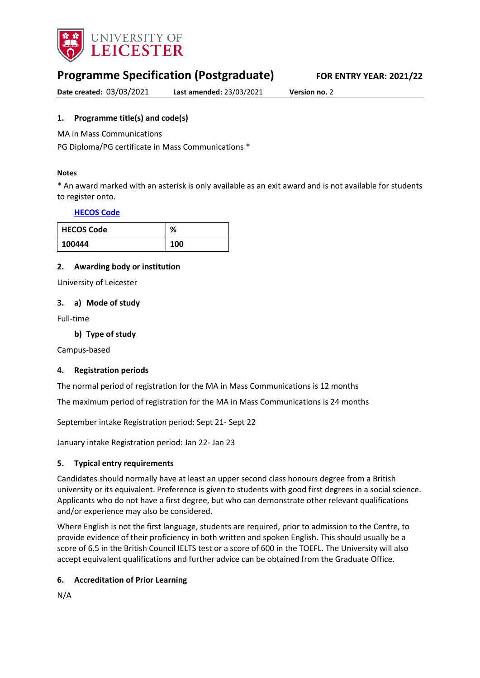

# **Programme Specification (Postgraduate) FOR ENTRY YEAR: 2021/22**

**Date created:** 03/03/2021 **Last amended:** 23/03/2021 **Version no.** 2

## <span id="page-0-0"></span>**1. Programme title(s) and code(s)**

MA in Mass Communications

PG Diploma/PG certificate in Mass Communications \*

#### **Notes**

\* An award marked with an asterisk is only available as an exit award and is not available for students to register onto.

### **[HECOS Code](https://www.hesa.ac.uk/innovation/hecos)**

| <b>HECOS Code</b> | ℅   |
|-------------------|-----|
| 100444            | 100 |

### **2. Awarding body or institution**

University of Leicester

### **3. a) Mode of study**

Full-time

**b) Type of study**

Campus-based

## **4. Registration periods**

The normal period of registration for the MA in Mass Communications is 12 months

The maximum period of registration for the MA in Mass Communications is 24 months

September intake Registration period: Sept 21- Sept 22

January intake Registration period: Jan 22- Jan 23

## **5. Typical entry requirements**

Candidates should normally have at least an upper second class honours degree from a British university or its equivalent. Preference is given to students with good first degrees in a social science. Applicants who do not have a first degree, but who can demonstrate other relevant qualifications and/or experience may also be considered.

Where English is not the first language, students are required, prior to admission to the Centre, to provide evidence of their proficiency in both written and spoken English. This should usually be a score of 6.5 in the British Council IELTS test or a score of 600 in the TOEFL. The University will also accept equivalent qualifications and further advice can be obtained from the Graduate Office.

## **6. Accreditation of Prior Learning**

N/A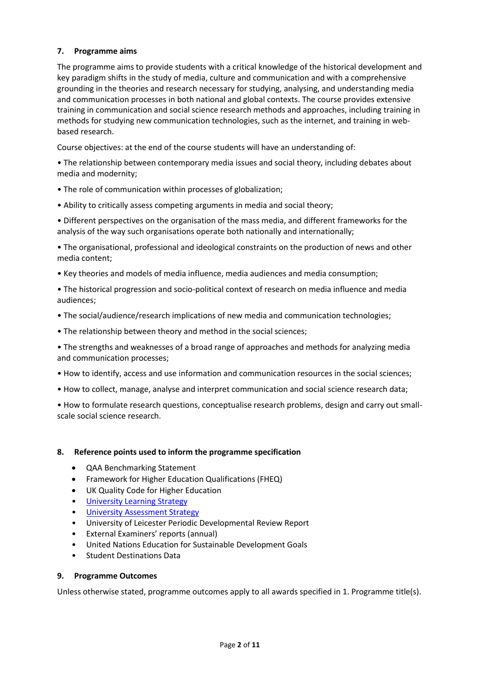## **7. Programme aims**

The programme aims to provide students with a critical knowledge of the historical development and key paradigm shifts in the study of media, culture and communication and with a comprehensive grounding in the theories and research necessary for studying, analysing, and understanding media and communication processes in both national and global contexts. The course provides extensive training in communication and social science research methods and approaches, including training in methods for studying new communication technologies, such as the internet, and training in webbased research.

Course objectives: at the end of the course students will have an understanding of:

• The relationship between contemporary media issues and social theory, including debates about media and modernity;

- The role of communication within processes of globalization;
- Ability to critically assess competing arguments in media and social theory;

• Different perspectives on the organisation of the mass media, and different frameworks for the analysis of the way such organisations operate both nationally and internationally;

• The organisational, professional and ideological constraints on the production of news and other media content;

• Key theories and models of media influence, media audiences and media consumption;

• The historical progression and socio-political context of research on media influence and media audiences;

- The social/audience/research implications of new media and communication technologies;
- The relationship between theory and method in the social sciences;

• The strengths and weaknesses of a broad range of approaches and methods for analyzing media and communication processes;

- How to identify, access and use information and communication resources in the social sciences;
- How to collect, manage, analyse and interpret communication and social science research data;

• How to formulate research questions, conceptualise research problems, design and carry out smallscale social science research.

#### **8. Reference points used to inform the programme specification**

- QAA Benchmarking Statement
- Framework for Higher Education Qualifications (FHEQ)
- UK Quality Code for Higher Education
- [University Learning](https://www2.le.ac.uk/offices/sas2/quality/learnteach) Strategy
- [University Assessment Strategy](https://www2.le.ac.uk/offices/sas2/quality/learnteach)
- University of Leicester Periodic Developmental Review Report
- External Examiners' reports (annual)
- United Nations Education for Sustainable Development Goals
- Student Destinations Data

#### **9. Programme Outcomes**

Unless otherwise stated, programme outcomes apply to all awards specified in [1.](#page-0-0) Programme title(s).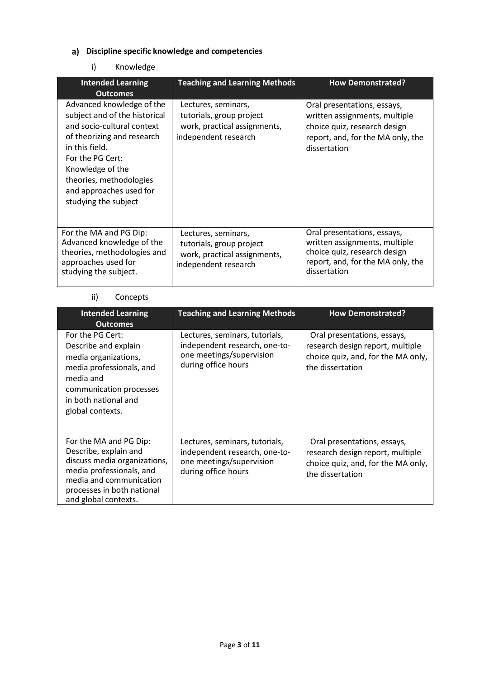# **Discipline specific knowledge and competencies**

## i) Knowledge

| <b>Intended Learning</b><br><b>Outcomes</b>                                                                                                                                                                                                                    | <b>Teaching and Learning Methods</b>                                                                    | <b>How Demonstrated?</b>                                                                                                                          |
|----------------------------------------------------------------------------------------------------------------------------------------------------------------------------------------------------------------------------------------------------------------|---------------------------------------------------------------------------------------------------------|---------------------------------------------------------------------------------------------------------------------------------------------------|
| Advanced knowledge of the<br>subject and of the historical<br>and socio-cultural context<br>of theorizing and research<br>in this field.<br>For the PG Cert:<br>Knowledge of the<br>theories, methodologies<br>and approaches used for<br>studying the subject | Lectures, seminars,<br>tutorials, group project<br>work, practical assignments,<br>independent research | Oral presentations, essays,<br>written assignments, multiple<br>choice quiz, research design<br>report, and, for the MA only, the<br>dissertation |
| For the MA and PG Dip:<br>Advanced knowledge of the<br>theories, methodologies and<br>approaches used for<br>studying the subject.                                                                                                                             | Lectures, seminars,<br>tutorials, group project<br>work, practical assignments,<br>independent research | Oral presentations, essays,<br>written assignments, multiple<br>choice quiz, research design<br>report, and, for the MA only, the<br>dissertation |

## ii) Concepts

| <b>Intended Learning</b><br><b>Outcomes</b>                                                                                                                                                  | <b>Teaching and Learning Methods</b>                                                                               | <b>How Demonstrated?</b>                                                                                                  |
|----------------------------------------------------------------------------------------------------------------------------------------------------------------------------------------------|--------------------------------------------------------------------------------------------------------------------|---------------------------------------------------------------------------------------------------------------------------|
| For the PG Cert:<br>Describe and explain<br>media organizations,<br>media professionals, and<br>media and<br>communication processes<br>in both national and<br>global contexts.             | Lectures, seminars, tutorials,<br>independent research, one-to-<br>one meetings/supervision<br>during office hours | Oral presentations, essays,<br>research design report, multiple<br>choice quiz, and, for the MA only,<br>the dissertation |
| For the MA and PG Dip:<br>Describe, explain and<br>discuss media organizations,<br>media professionals, and<br>media and communication<br>processes in both national<br>and global contexts. | Lectures, seminars, tutorials,<br>independent research, one-to-<br>one meetings/supervision<br>during office hours | Oral presentations, essays,<br>research design report, multiple<br>choice quiz, and, for the MA only,<br>the dissertation |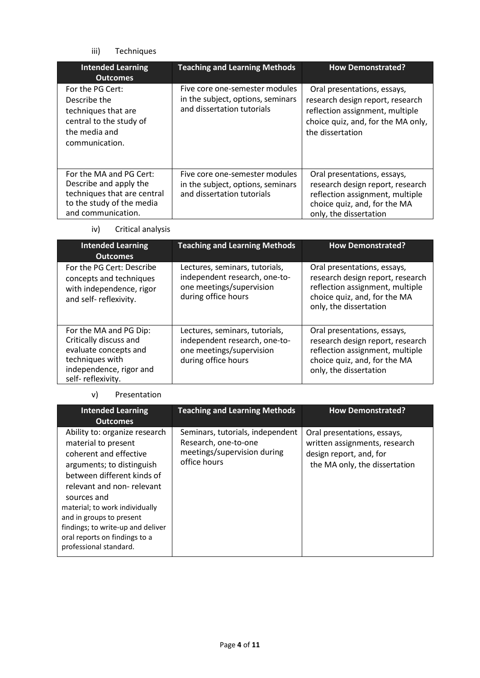## iii) Techniques

| <b>Intended Learning</b><br><b>Outcomes</b>                                                                                         | <b>Teaching and Learning Methods</b>                                                              | <b>How Demonstrated?</b>                                                                                                                                     |
|-------------------------------------------------------------------------------------------------------------------------------------|---------------------------------------------------------------------------------------------------|--------------------------------------------------------------------------------------------------------------------------------------------------------------|
| For the PG Cert:<br>Describe the<br>techniques that are<br>central to the study of<br>the media and<br>communication.               | Five core one-semester modules<br>in the subject, options, seminars<br>and dissertation tutorials | Oral presentations, essays,<br>research design report, research<br>reflection assignment, multiple<br>choice quiz, and, for the MA only,<br>the dissertation |
| For the MA and PG Cert:<br>Describe and apply the<br>techniques that are central<br>to the study of the media<br>and communication. | Five core one-semester modules<br>in the subject, options, seminars<br>and dissertation tutorials | Oral presentations, essays,<br>research design report, research<br>reflection assignment, multiple<br>choice quiz, and, for the MA<br>only, the dissertation |

## iv) Critical analysis

| <b>Intended Learning</b><br><b>Outcomes</b>                                                                                                  | <b>Teaching and Learning Methods</b>                                                                               | <b>How Demonstrated?</b>                                                                                                                                     |
|----------------------------------------------------------------------------------------------------------------------------------------------|--------------------------------------------------------------------------------------------------------------------|--------------------------------------------------------------------------------------------------------------------------------------------------------------|
| For the PG Cert: Describe<br>concepts and techniques<br>with independence, rigor<br>and self-reflexivity.                                    | Lectures, seminars, tutorials,<br>independent research, one-to-<br>one meetings/supervision<br>during office hours | Oral presentations, essays,<br>research design report, research<br>reflection assignment, multiple<br>choice quiz, and, for the MA<br>only, the dissertation |
| For the MA and PG Dip:<br>Critically discuss and<br>evaluate concepts and<br>techniques with<br>independence, rigor and<br>self-reflexivity. | Lectures, seminars, tutorials,<br>independent research, one-to-<br>one meetings/supervision<br>during office hours | Oral presentations, essays,<br>research design report, research<br>reflection assignment, multiple<br>choice quiz, and, for the MA<br>only, the dissertation |

### v) Presentation

| <b>Intended Learning</b><br><b>Outcomes</b>                                                                                                                                                                                                                                                                                                         | <b>Teaching and Learning Methods</b>                                                                    | <b>How Demonstrated?</b>                                                                                                 |
|-----------------------------------------------------------------------------------------------------------------------------------------------------------------------------------------------------------------------------------------------------------------------------------------------------------------------------------------------------|---------------------------------------------------------------------------------------------------------|--------------------------------------------------------------------------------------------------------------------------|
| Ability to: organize research<br>material to present<br>coherent and effective<br>arguments; to distinguish<br>between different kinds of<br>relevant and non-relevant<br>sources and<br>material; to work individually<br>and in groups to present<br>findings; to write-up and deliver<br>oral reports on findings to a<br>professional standard. | Seminars, tutorials, independent<br>Research, one-to-one<br>meetings/supervision during<br>office hours | Oral presentations, essays,<br>written assignments, research<br>design report, and, for<br>the MA only, the dissertation |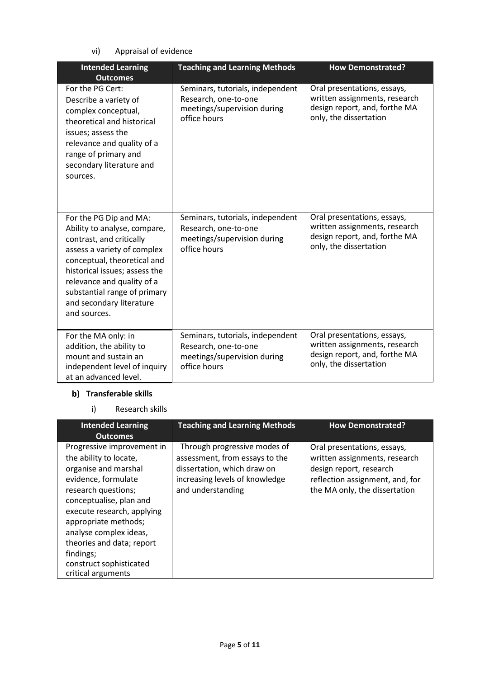vi) Appraisal of evidence

| <b>Intended Learning</b>                                                                                                                                                                                                                                                                    | <b>Teaching and Learning Methods</b>                                                                    | <b>How Demonstrated?</b>                                                                                                |
|---------------------------------------------------------------------------------------------------------------------------------------------------------------------------------------------------------------------------------------------------------------------------------------------|---------------------------------------------------------------------------------------------------------|-------------------------------------------------------------------------------------------------------------------------|
| <b>Outcomes</b>                                                                                                                                                                                                                                                                             |                                                                                                         |                                                                                                                         |
| For the PG Cert:<br>Describe a variety of<br>complex conceptual,<br>theoretical and historical<br>issues; assess the<br>relevance and quality of a<br>range of primary and<br>secondary literature and<br>sources.                                                                          | Seminars, tutorials, independent<br>Research, one-to-one<br>meetings/supervision during<br>office hours | Oral presentations, essays,<br>written assignments, research<br>design report, and, forthe MA<br>only, the dissertation |
| For the PG Dip and MA:<br>Ability to analyse, compare,<br>contrast, and critically<br>assess a variety of complex<br>conceptual, theoretical and<br>historical issues; assess the<br>relevance and quality of a<br>substantial range of primary<br>and secondary literature<br>and sources. | Seminars, tutorials, independent<br>Research, one-to-one<br>meetings/supervision during<br>office hours | Oral presentations, essays,<br>written assignments, research<br>design report, and, forthe MA<br>only, the dissertation |
| For the MA only: in<br>addition, the ability to<br>mount and sustain an<br>independent level of inquiry<br>at an advanced level.                                                                                                                                                            | Seminars, tutorials, independent<br>Research, one-to-one<br>meetings/supervision during<br>office hours | Oral presentations, essays,<br>written assignments, research<br>design report, and, forthe MA<br>only, the dissertation |

# **b)** Transferable skills

i) Research skills

| <b>Intended Learning</b><br><b>Outcomes</b>                                                                                                                                                                                                                                                                                      | <b>Teaching and Learning Methods</b>                                                                                                                 | <b>How Demonstrated?</b>                                                                                                                                    |
|----------------------------------------------------------------------------------------------------------------------------------------------------------------------------------------------------------------------------------------------------------------------------------------------------------------------------------|------------------------------------------------------------------------------------------------------------------------------------------------------|-------------------------------------------------------------------------------------------------------------------------------------------------------------|
| Progressive improvement in<br>the ability to locate,<br>organise and marshal<br>evidence, formulate<br>research questions;<br>conceptualise, plan and<br>execute research, applying<br>appropriate methods;<br>analyse complex ideas,<br>theories and data; report<br>findings;<br>construct sophisticated<br>critical arguments | Through progressive modes of<br>assessment, from essays to the<br>dissertation, which draw on<br>increasing levels of knowledge<br>and understanding | Oral presentations, essays,<br>written assignments, research<br>design report, research<br>reflection assignment, and, for<br>the MA only, the dissertation |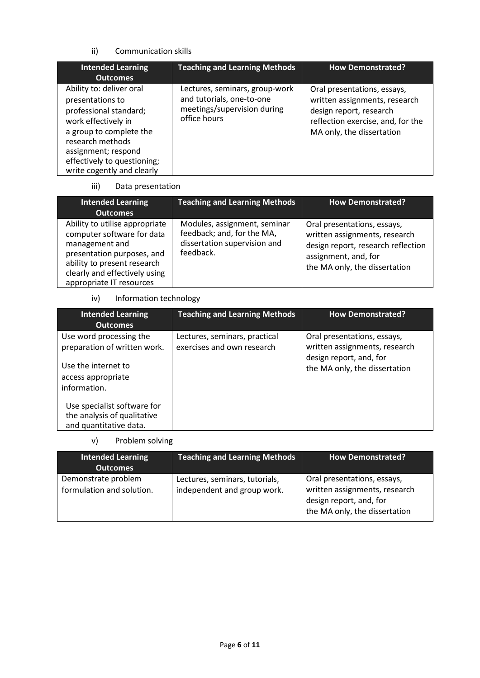## ii) Communication skills

| <b>Intended Learning</b><br><b>Outcomes</b>                                                                                                                                                                                      | <b>Teaching and Learning Methods</b>                                                                       | <b>How Demonstrated?</b>                                                                                                                                  |
|----------------------------------------------------------------------------------------------------------------------------------------------------------------------------------------------------------------------------------|------------------------------------------------------------------------------------------------------------|-----------------------------------------------------------------------------------------------------------------------------------------------------------|
| Ability to: deliver oral<br>presentations to<br>professional standard;<br>work effectively in<br>a group to complete the<br>research methods<br>assignment; respond<br>effectively to questioning;<br>write cogently and clearly | Lectures, seminars, group-work<br>and tutorials, one-to-one<br>meetings/supervision during<br>office hours | Oral presentations, essays,<br>written assignments, research<br>design report, research<br>reflection exercise, and, for the<br>MA only, the dissertation |

### iii) Data presentation

| <b>Intended Learning</b><br><b>Outcomes</b>                                                                                                                                                              | <b>Teaching and Learning Methods</b>                                                                    | <b>How Demonstrated?</b>                                                                                                                                    |
|----------------------------------------------------------------------------------------------------------------------------------------------------------------------------------------------------------|---------------------------------------------------------------------------------------------------------|-------------------------------------------------------------------------------------------------------------------------------------------------------------|
| Ability to utilise appropriate<br>computer software for data<br>management and<br>presentation purposes, and<br>ability to present research<br>clearly and effectively using<br>appropriate IT resources | Modules, assignment, seminar<br>feedback; and, for the MA,<br>dissertation supervision and<br>feedback. | Oral presentations, essays,<br>written assignments, research<br>design report, research reflection<br>assignment, and, for<br>the MA only, the dissertation |

# iv) Information technology

| <b>Intended Learning</b><br><b>Outcomes</b>                                                                          | <b>Teaching and Learning Methods</b>                        | <b>How Demonstrated?</b>                                                                                                 |
|----------------------------------------------------------------------------------------------------------------------|-------------------------------------------------------------|--------------------------------------------------------------------------------------------------------------------------|
| Use word processing the<br>preparation of written work.<br>Use the internet to<br>access appropriate<br>information. | Lectures, seminars, practical<br>exercises and own research | Oral presentations, essays,<br>written assignments, research<br>design report, and, for<br>the MA only, the dissertation |
| Use specialist software for<br>the analysis of qualitative<br>and quantitative data.                                 |                                                             |                                                                                                                          |

### v) Problem solving

| <b>Intended Learning</b><br><b>Outcomes</b>      | <b>Teaching and Learning Methods</b>                          | <b>How Demonstrated?</b>                                                                                                 |
|--------------------------------------------------|---------------------------------------------------------------|--------------------------------------------------------------------------------------------------------------------------|
| Demonstrate problem<br>formulation and solution. | Lectures, seminars, tutorials,<br>independent and group work. | Oral presentations, essays,<br>written assignments, research<br>design report, and, for<br>the MA only, the dissertation |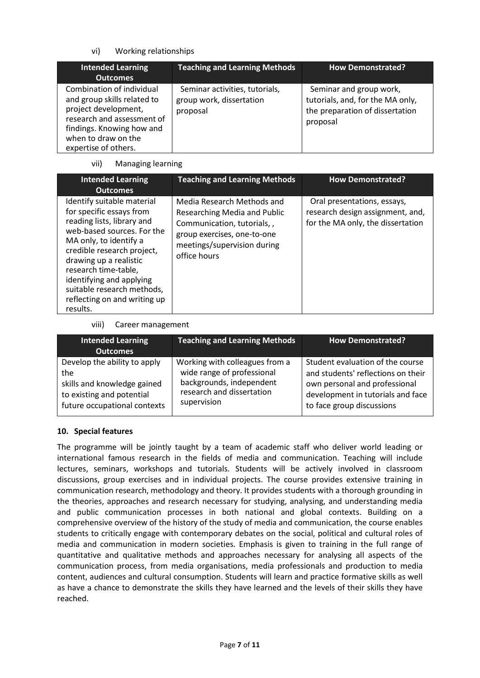## vi) Working relationships

| <b>Intended Learning</b><br><b>Outcomes</b>                                                                                                                                                | <b>Teaching and Learning Methods</b>                                   | <b>How Demonstrated?</b>                                                                                   |
|--------------------------------------------------------------------------------------------------------------------------------------------------------------------------------------------|------------------------------------------------------------------------|------------------------------------------------------------------------------------------------------------|
| Combination of individual<br>and group skills related to<br>project development,<br>research and assessment of<br>findings. Knowing how and<br>when to draw on the<br>expertise of others. | Seminar activities, tutorials,<br>group work, dissertation<br>proposal | Seminar and group work,<br>tutorials, and, for the MA only,<br>the preparation of dissertation<br>proposal |

## vii) Managing learning

| <b>Intended Learning</b><br><b>Outcomes</b>                                                                                                                                                                                                                                                                                        | <b>Teaching and Learning Methods</b>                                                                                                                                           | <b>How Demonstrated?</b>                                                                             |
|------------------------------------------------------------------------------------------------------------------------------------------------------------------------------------------------------------------------------------------------------------------------------------------------------------------------------------|--------------------------------------------------------------------------------------------------------------------------------------------------------------------------------|------------------------------------------------------------------------------------------------------|
| Identify suitable material<br>for specific essays from<br>reading lists, library and<br>web-based sources. For the<br>MA only, to identify a<br>credible research project,<br>drawing up a realistic<br>research time-table,<br>identifying and applying<br>suitable research methods,<br>reflecting on and writing up<br>results. | Media Research Methods and<br><b>Researching Media and Public</b><br>Communication, tutorials, ,<br>group exercises, one-to-one<br>meetings/supervision during<br>office hours | Oral presentations, essays,<br>research design assignment, and,<br>for the MA only, the dissertation |

### viii) Career management

| <b>Intended Learning</b><br><b>Outcomes</b> | <b>Teaching and Learning Methods</b> | How Demonstrated?                  |
|---------------------------------------------|--------------------------------------|------------------------------------|
| Develop the ability to apply                | Working with colleagues from a       | Student evaluation of the course   |
| the                                         | wide range of professional           | and students' reflections on their |
| skills and knowledge gained                 | backgrounds, independent             | own personal and professional      |
| to existing and potential                   | research and dissertation            | development in tutorials and face  |
| future occupational contexts                | supervision                          | to face group discussions          |

## **10. Special features**

The programme will be jointly taught by a team of academic staff who deliver world leading or international famous research in the fields of media and communication. Teaching will include lectures, seminars, workshops and tutorials. Students will be actively involved in classroom discussions, group exercises and in individual projects. The course provides extensive training in communication research, methodology and theory. It provides students with a thorough grounding in the theories, approaches and research necessary for studying, analysing, and understanding media and public communication processes in both national and global contexts. Building on a comprehensive overview of the history of the study of media and communication, the course enables students to critically engage with contemporary debates on the social, political and cultural roles of media and communication in modern societies. Emphasis is given to training in the full range of quantitative and qualitative methods and approaches necessary for analysing all aspects of the communication process, from media organisations, media professionals and production to media content, audiences and cultural consumption. Students will learn and practice formative skills as well as have a chance to demonstrate the skills they have learned and the levels of their skills they have reached.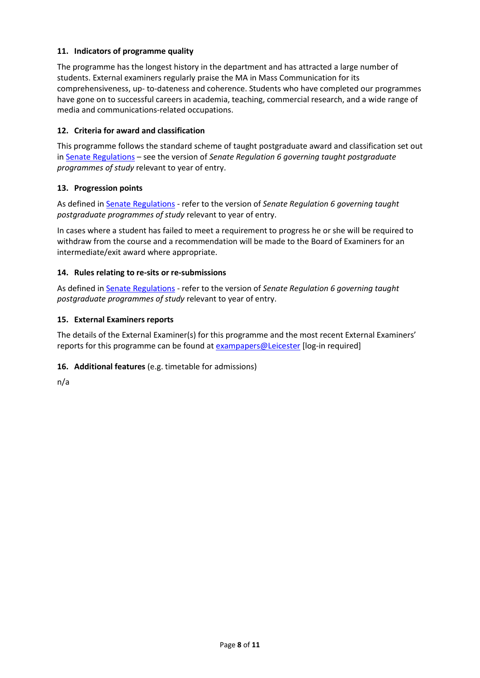## **11. Indicators of programme quality**

The programme has the longest history in the department and has attracted a large number of students. External examiners regularly praise the MA in Mass Communication for its comprehensiveness, up- to-dateness and coherence. Students who have completed our programmes have gone on to successful careers in academia, teaching, commercial research, and a wide range of media and communications-related occupations.

### **12. Criteria for award and classification**

This programme follows the standard scheme of taught postgraduate award and classification set out i[n Senate Regulations](http://www.le.ac.uk/senate-regulations) – see the version of *Senate Regulation 6 governing taught postgraduate programmes of study* relevant to year of entry.

### **13. Progression points**

As defined i[n Senate Regulations](http://www.le.ac.uk/senate-regulation6) - refer to the version of *Senate Regulation 6 governing taught postgraduate programmes of study* relevant to year of entry.

In cases where a student has failed to meet a requirement to progress he or she will be required to withdraw from the course and a recommendation will be made to the Board of Examiners for an intermediate/exit award where appropriate.

#### **14. Rules relating to re-sits or re-submissions**

As defined i[n Senate Regulations](http://www.le.ac.uk/senate-regulation6) - refer to the version of *Senate Regulation 6 governing taught postgraduate programmes of study* relevant to year of entry.

#### **15. External Examiners reports**

The details of the External Examiner(s) for this programme and the most recent External Examiners' reports for this programme can be found at **exampapers@Leicester** [log-in required]

## **16. Additional features** (e.g. timetable for admissions)

n/a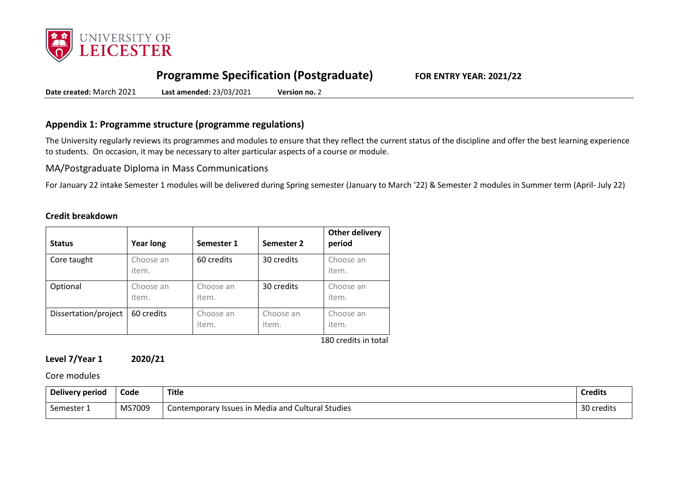

# **Programme Specification (Postgraduate) FOR ENTRY YEAR: 2021/22**

**Date created:** March 2021 **Last amended:** 23/03/2021 **Version no.** 2

## **Appendix 1: Programme structure (programme regulations)**

The University regularly reviews its programmes and modules to ensure that they reflect the current status of the discipline and offer the best learning experience to students. On occasion, it may be necessary to alter particular aspects of a course or module.

MA/Postgraduate Diploma in Mass Communications

For January 22 intake Semester 1 modules will be delivered during Spring semester (January to March '22) & Semester 2 modules in Summer term (April- July 22)

#### **Credit breakdown**

| <b>Status</b>        | <b>Year long</b>   | Semester 1         | Semester 2         | <b>Other delivery</b><br>period |
|----------------------|--------------------|--------------------|--------------------|---------------------------------|
| Core taught          | Choose an<br>item. | 60 credits         | 30 credits         | Choose an<br>item.              |
| Optional             | Choose an<br>item. | Choose an<br>item. | 30 credits         | Choose an<br>item.              |
| Dissertation/project | 60 credits         | Choose an<br>item. | Choose an<br>item. | Choose an<br>item.              |

180 credits in total

## **Level 7/Year 1 2020/21**

### Core modules

| Delivery period | Code   | <b>Title</b>                                      | <b>Credits</b> |
|-----------------|--------|---------------------------------------------------|----------------|
| Semester 1      | MS7009 | Contemporary Issues in Media and Cultural Studies |                |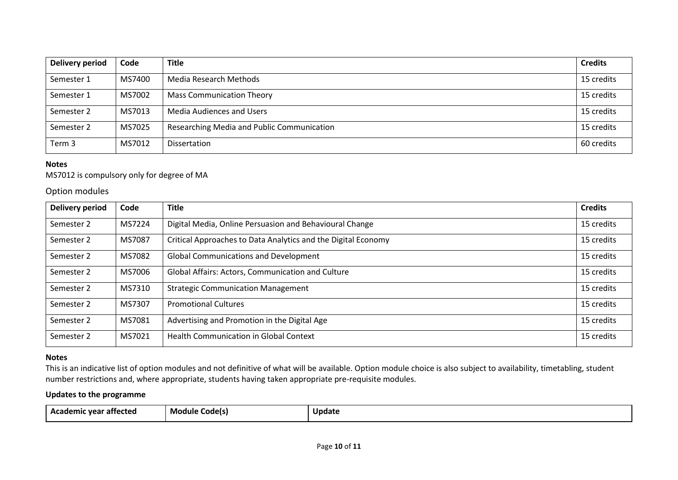| <b>Delivery period</b> | Code   | <b>Title</b>                               | <b>Credits</b> |
|------------------------|--------|--------------------------------------------|----------------|
| Semester 1             | MS7400 | Media Research Methods                     | 15 credits     |
| Semester 1             | MS7002 | <b>Mass Communication Theory</b>           | 15 credits     |
| Semester 2             | MS7013 | Media Audiences and Users                  | 15 credits     |
| Semester 2             | MS7025 | Researching Media and Public Communication |                |
| Term 3                 | MS7012 | <b>Dissertation</b>                        | 60 credits     |

#### **Notes**

MS7012 is compulsory only for degree of MA

Option modules

| <b>Delivery period</b> | Code   | <b>Title</b>                                                  |            |
|------------------------|--------|---------------------------------------------------------------|------------|
| Semester 2             | MS7224 | Digital Media, Online Persuasion and Behavioural Change       |            |
| Semester 2             | MS7087 | Critical Approaches to Data Analytics and the Digital Economy |            |
| Semester 2             | MS7082 | <b>Global Communications and Development</b>                  |            |
| Semester 2             | MS7006 | Global Affairs: Actors, Communication and Culture             |            |
| Semester 2             | MS7310 | <b>Strategic Communication Management</b>                     |            |
| Semester 2             | MS7307 | <b>Promotional Cultures</b>                                   | 15 credits |
| Semester 2             | MS7081 | Advertising and Promotion in the Digital Age                  |            |
| Semester 2             | MS7021 | <b>Health Communication in Global Context</b>                 |            |

#### **Notes**

This is an indicative list of option modules and not definitive of what will be available. Option module choice is also subject to availability, timetabling, student number restrictions and, where appropriate, students having taken appropriate pre-requisite modules.

## **Updates to the programme**

| - Academic vear affected | Module Code(s) | Update |
|--------------------------|----------------|--------|
|--------------------------|----------------|--------|